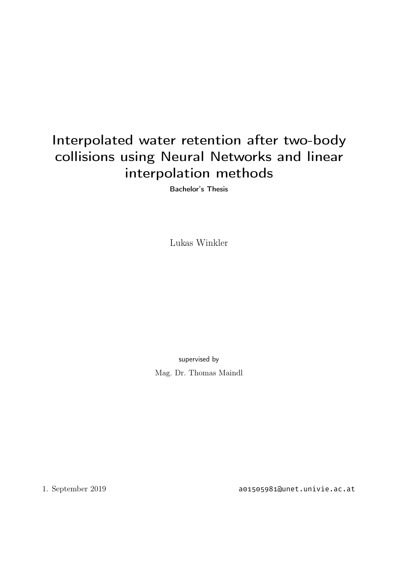# Interpolated water retention after two-body collisions using Neural Networks and linear interpolation methods

Bachelor's Thesis

Lukas Winkler

supervised by Mag. Dr. Thomas Maindl

1. September 2019 a01505981@unet.univie.ac.at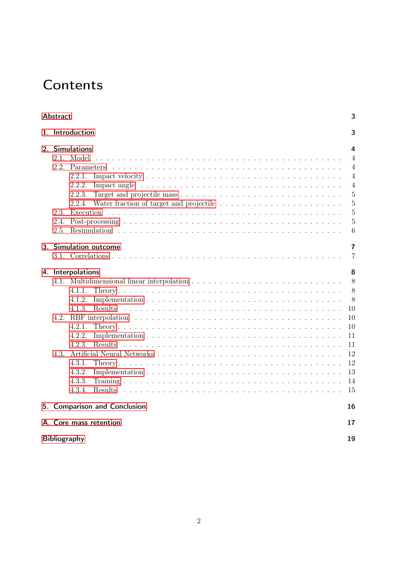# **Contents**

| Abstract                                                                                                                                   | 3              |  |  |  |
|--------------------------------------------------------------------------------------------------------------------------------------------|----------------|--|--|--|
| 1. Introduction                                                                                                                            | 3              |  |  |  |
| 2. Simulations                                                                                                                             | 4              |  |  |  |
| Model<br>21                                                                                                                                | $\overline{4}$ |  |  |  |
| 2.2.<br>Parameters<br><u>. A provincial de la característica de la característica de la característica de la característica de la cara</u> | $\overline{4}$ |  |  |  |
| 2.2.1.                                                                                                                                     | $\overline{4}$ |  |  |  |
| 2.2.2.                                                                                                                                     | $\overline{4}$ |  |  |  |
| 2.2.3.                                                                                                                                     | 5              |  |  |  |
| 2.2.4.                                                                                                                                     | $\overline{5}$ |  |  |  |
| 2.3.                                                                                                                                       | $\overline{5}$ |  |  |  |
| 2.4.                                                                                                                                       | $\overline{5}$ |  |  |  |
| 2.5.                                                                                                                                       | 6              |  |  |  |
| 3. Simulation outcome                                                                                                                      | 7              |  |  |  |
|                                                                                                                                            | 7              |  |  |  |
|                                                                                                                                            |                |  |  |  |
| 4. Interpolations                                                                                                                          | 8              |  |  |  |
|                                                                                                                                            | 8              |  |  |  |
| 4.1.1.                                                                                                                                     | 8              |  |  |  |
| 4.1.2.                                                                                                                                     | 8              |  |  |  |
| <b>Results</b><br>4.1.3.                                                                                                                   | 10             |  |  |  |
| 4.2.                                                                                                                                       | 10             |  |  |  |
| 4.2.1.                                                                                                                                     | 10             |  |  |  |
| 4.2.2.                                                                                                                                     | 11             |  |  |  |
| 4.2.3.<br>Results                                                                                                                          | 11             |  |  |  |
| 4.3.                                                                                                                                       | 12             |  |  |  |
| 4.3.1.                                                                                                                                     | 12             |  |  |  |
| 4.3.2.                                                                                                                                     | 13             |  |  |  |
| 4.3.3.                                                                                                                                     | 14             |  |  |  |
| 4.3.4.                                                                                                                                     | 15             |  |  |  |
| 5. Comparison and Conclusion                                                                                                               | 16             |  |  |  |
|                                                                                                                                            |                |  |  |  |
| A. Core mass retention                                                                                                                     | 17             |  |  |  |
| <b>Bibliography</b><br>19                                                                                                                  |                |  |  |  |
|                                                                                                                                            |                |  |  |  |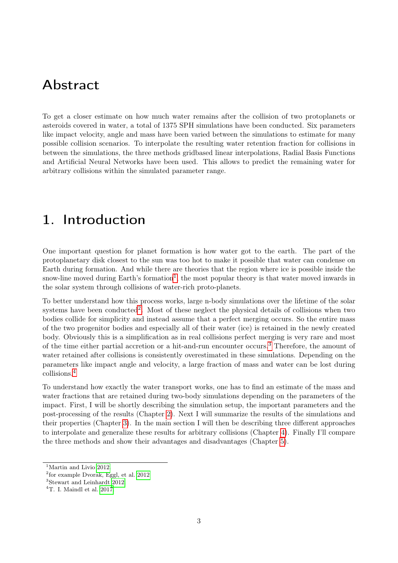## <span id="page-2-6"></span><span id="page-2-0"></span>Abstract

To get a closer estimate on how much water remains after the collision of two protoplanets or asteroids covered in water, a total of 1375 SPH simulations have been conducted. Six parameters like impact velocity, angle and mass have been varied between the simulations to estimate for many possible collision scenarios. To interpolate the resulting water retention fraction for collisions in between the simulations, the three methods gridbased linear interpolations, Radial Basis Functions and Artificial Neural Networks have been used. This allows to predict the remaining water for arbitrary collisions within the simulated parameter range.

## <span id="page-2-1"></span>1. Introduction

One important question for planet formation is how water got to the earth. The part of the protoplanetary disk closest to the sun was too hot to make it possible that water can condense on Earth during formation. And while there are theories that the region where ice is possible inside the snow-line moved during Earth's formation<sup>[1](#page-2-2)</sup>, the most popular theory is that water moved inwards in the solar system through collisions of water-rich proto-planets.

To better understand how this process works, large n-body simulations over the lifetime of the solar systems have been conducted<sup>[2](#page-2-3)</sup>. Most of these neglect the physical details of collisions when two bodies collide for simplicity and instead assume that a perfect merging occurs. So the entire mass of the two progenitor bodies and especially all of their water (ice) is retained in the newly created body. Obviously this is a simplification as in real collisions perfect merging is very rare and most of the time either partial accretion or a hit-and-run encounter occurs.[3](#page-2-4) Therefore, the amount of water retained after collisions is consistently overestimated in these simulations. Depending on the parameters like impact angle and velocity, a large fraction of mass and water can be lost during collisions.[4](#page-2-5)

To understand how exactly the water transport works, one has to find an estimate of the mass and water fractions that are retained during two-body simulations depending on the parameters of the impact. First, I will be shortly describing the simulation setup, the important parameters and the post-processing of the results (Chapter [2\)](#page-3-0). Next I will summarize the results of the simulations and their properties (Chapter [3\)](#page-6-0). In the main section I will then be describing three different approaches to interpolate and generalize these results for arbitrary collisions (Chapter [4\)](#page-7-0). Finally I'll compare the three methods and show their advantages and disadvantages (Chapter [5\)](#page-15-0).

<span id="page-2-2"></span><sup>&</sup>lt;sup>1</sup>Martin and Livio [2012.](#page-18-1)

<span id="page-2-3"></span><sup>2</sup> for example Dvorak, Eggl, et al. [2012](#page-18-2)

<span id="page-2-4"></span><sup>3</sup>Stewart and Leinhardt [2012.](#page-18-3)

<span id="page-2-5"></span> $4T$ . I. Maindl et al. [2017.](#page-18-4)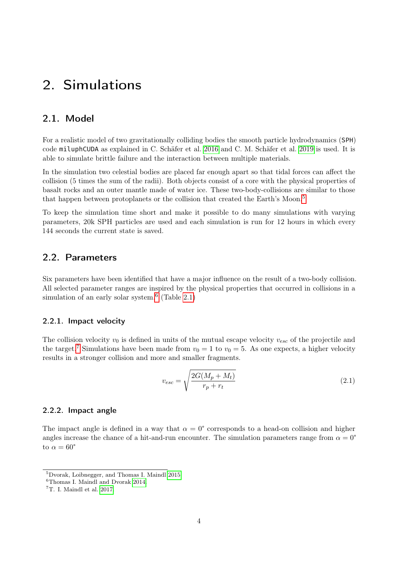## <span id="page-3-8"></span><span id="page-3-0"></span>2. Simulations

### <span id="page-3-1"></span>2.1. Model

For a realistic model of two gravitationally colliding bodies the smooth particle hydrodynamics (SPH) code miluphCUDA as explained in C. Schäfer et al. [2016](#page-18-5) and C. M. Schäfer et al. [2019](#page-18-6) is used. It is able to simulate brittle failure and the interaction between multiple materials.

In the simulation two celestial bodies are placed far enough apart so that tidal forces can affect the collision (5 times the sum of the radii). Both objects consist of a core with the physical properties of basalt rocks and an outer mantle made of water ice. These two-body-collisions are similar to those that happen between protoplanets or the collision that created the Earth's Moon.[5](#page-3-5)

To keep the simulation time short and make it possible to do many simulations with varying parameters, 20k SPH particles are used and each simulation is run for 12 hours in which every 144 seconds the current state is saved.

### <span id="page-3-2"></span>2.2. Parameters

Six parameters have been identified that have a major influence on the result of a two-body collision. All selected parameter ranges are inspired by the physical properties that occurred in collisions in a simulation of an early solar system.<sup>[6](#page-3-6)</sup> (Table [2.1\)](#page-4-4)

#### <span id="page-3-3"></span>2.2.1. Impact velocity

The collision velocity  $v_0$  is defined in units of the mutual escape velocity  $v_{esc}$  of the projectile and the target.<sup>[7](#page-3-7)</sup> Simulations have been made from  $v_0 = 1$  to  $v_0 = 5$ . As one expects, a higher velocity results in a stronger collision and more and smaller fragments.

$$
v_{esc} = \sqrt{\frac{2G(M_p + M_t)}{r_p + r_t}}
$$
\n
$$
(2.1)
$$

#### <span id="page-3-4"></span>2.2.2. Impact angle

The impact angle is defined in a way that  $\alpha = 0^{\circ}$  corresponds to a head-on collision and higher angles increase the chance of a hit-and-run encounter. The simulation parameters range from  $\alpha = 0^{\circ}$ to  $\alpha = 60^{\circ}$ 

<span id="page-3-5"></span><sup>5</sup>Dvorak, Loibnegger, and Thomas I. Maindl [2015.](#page-18-7)

<span id="page-3-6"></span><sup>6</sup>Thomas I. Maindl and Dvorak [2014.](#page-18-8)

<span id="page-3-7"></span><sup>7</sup>T. I. Maindl et al. [2017.](#page-18-4)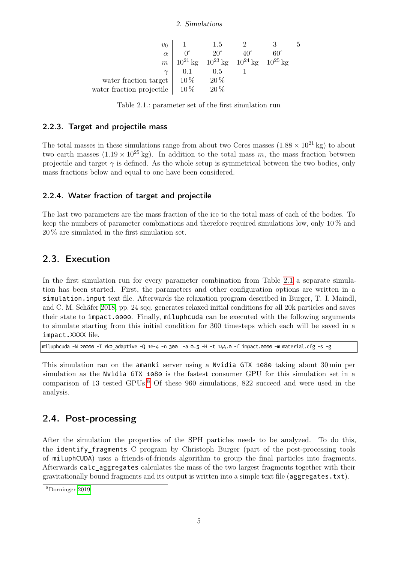#### 2. Simulations

<span id="page-4-6"></span><span id="page-4-4"></span>

| $v_0$                     |        | 1.5                                                 |     | 5 |
|---------------------------|--------|-----------------------------------------------------|-----|---|
| $\alpha$                  |        | $20^{\circ}$                                        | 60° |   |
| m <sup>1</sup>            |        | $10^{21}$ kg $10^{23}$ kg $10^{24}$ kg $10^{25}$ kg |     |   |
| $\gamma$                  | 0.1    | $0.5\,$                                             |     |   |
| water fraction target     | $10\%$ | $20\%$                                              |     |   |
| water fraction projectile | $10\%$ | $20\%$                                              |     |   |

Table 2.1.: parameter set of the first simulation run

#### <span id="page-4-0"></span>2.2.3. Target and projectile mass

The total masses in these simulations range from about two Ceres masses  $(1.88 \times 10^{21} \text{ kg})$  to about two earth masses  $(1.19 \times 10^{25} \text{ kg})$ . In addition to the total mass m, the mass fraction between projectile and target  $\gamma$  is defined. As the whole setup is symmetrical between the two bodies, only mass fractions below and equal to one have been considered.

### <span id="page-4-1"></span>2.2.4. Water fraction of target and projectile

The last two parameters are the mass fraction of the ice to the total mass of each of the bodies. To keep the numbers of parameter combinations and therefore required simulations low, only 10 % and 20 % are simulated in the first simulation set.

## <span id="page-4-2"></span>2.3. Execution

In the first simulation run for every parameter combination from Table [2.1](#page-4-4) a separate simulation has been started. First, the parameters and other configuration options are written in a simulation.input text file. Afterwards the relaxation program described in Burger, T. I. Maindl, and C. M. Schäfer [2018,](#page-18-9) pp. 24 sqq. generates relaxed initial conditions for all 20k particles and saves their state to impact.0000. Finally, miluphcuda can be executed with the following arguments to simulate starting from this initial condition for 300 timesteps which each will be saved in a impact.XXXX file.

miluphcuda -N 20000 -I rk2\_adaptive -Q 1e-4 -n 300 -a 0.5 -H -t 144.0 -f impact.0000 -m material.cfg -s -g

This simulation ran on the amanki server using a Nvidia GTX 1080 taking about 30 min per simulation as the Nvidia GTX 1080 is the fastest consumer GPU for this simulation set in a comparison of 13 tested GPUs.[8](#page-4-5) Of these 960 simulations, 822 succeed and were used in the analysis.

### <span id="page-4-3"></span>2.4. Post-processing

After the simulation the properties of the SPH particles needs to be analyzed. To do this, the identify\_fragments C program by Christoph Burger (part of the post-processing tools of miluphCUDA) uses a friends-of-friends algorithm to group the final particles into fragments. Afterwards calc\_aggregates calculates the mass of the two largest fragments together with their gravitationally bound fragments and its output is written into a simple text file (aggregates.txt).

<span id="page-4-5"></span><sup>8</sup>Dorninger [2019.](#page-18-10)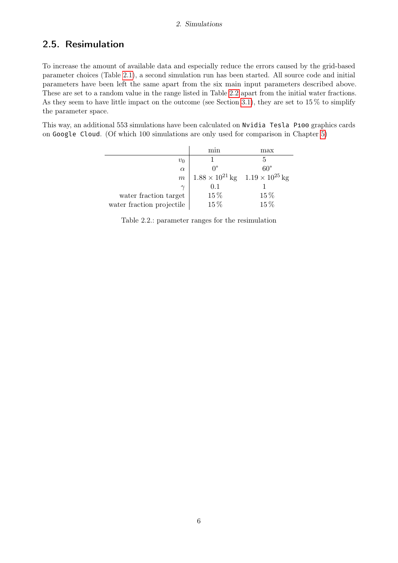### <span id="page-5-0"></span>2.5. Resimulation

To increase the amount of available data and especially reduce the errors caused by the grid-based parameter choices (Table [2.1\)](#page-4-4), a second simulation run has been started. All source code and initial parameters have been left the same apart from the six main input parameters described above. These are set to a random value in the range listed in Table [2.2](#page-5-1) apart from the initial water fractions. As they seem to have little impact on the outcome (see Section [3.1\)](#page-6-1), they are set to 15 % to simplify the parameter space.

<span id="page-5-1"></span>This way, an additional 553 simulations have been calculated on Nvidia Tesla P100 graphics cards on Google Cloud. (Of which 100 simulations are only used for comparison in Chapter [5\)](#page-15-0)

|                           | mın                                               | $\max$       |
|---------------------------|---------------------------------------------------|--------------|
| $v_0$                     |                                                   |              |
| $\alpha$                  | $\Omega^{\circ}$                                  | $60^{\circ}$ |
| $m\,$                     | $1.88 \times 10^{21}$ kg $1.19 \times 10^{25}$ kg |              |
| $\gamma$                  | 0.1                                               |              |
| water fraction target     | 15%                                               | $15\%$       |
| water fraction projectile | 15%                                               | 15%          |

Table 2.2.: parameter ranges for the resimulation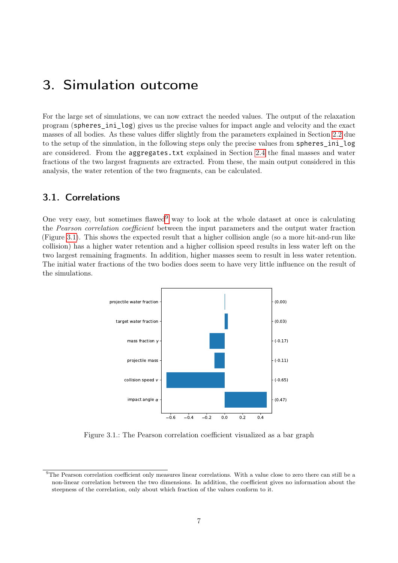## <span id="page-6-0"></span>3. Simulation outcome

For the large set of simulations, we can now extract the needed values. The output of the relaxation program (spheres\_ini\_log) gives us the precise values for impact angle and velocity and the exact masses of all bodies. As these values differ slightly from the parameters explained in Section [2.2](#page-3-2) due to the setup of the simulation, in the following steps only the precise values from spheres\_ini\_log are considered. From the aggregates.txt explained in Section [2.4](#page-4-3) the final masses and water fractions of the two largest fragments are extracted. From these, the main output considered in this analysis, the water retention of the two fragments, can be calculated.

### <span id="page-6-1"></span>3.1. Correlations

One very easy, but sometimes flawed<sup>[9](#page-6-2)</sup> way to look at the whole dataset at once is calculating the Pearson correlation coefficient between the input parameters and the output water fraction (Figure [3.1\)](#page-6-3). This shows the expected result that a higher collision angle (so a more hit-and-run like collision) has a higher water retention and a higher collision speed results in less water left on the two largest remaining fragments. In addition, higher masses seem to result in less water retention. The initial water fractions of the two bodies does seem to have very little influence on the result of the simulations.

<span id="page-6-3"></span>

Figure 3.1.: The Pearson correlation coefficient visualized as a bar graph

<span id="page-6-2"></span><sup>&</sup>lt;sup>9</sup>The Pearson correlation coefficient only measures linear correlations. With a value close to zero there can still be a non-linear correlation between the two dimensions. In addition, the coefficient gives no information about the steepness of the correlation, only about which fraction of the values conform to it.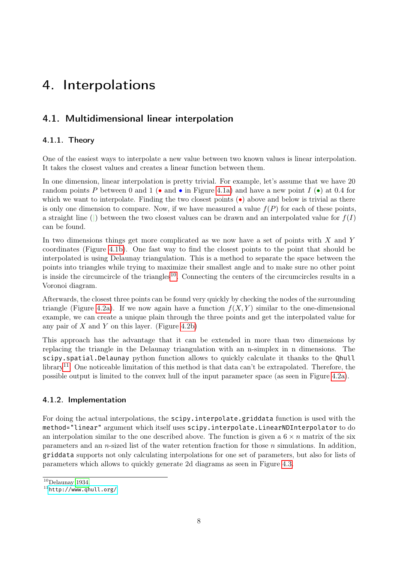## <span id="page-7-6"></span><span id="page-7-1"></span><span id="page-7-0"></span>4.1. Multidimensional linear interpolation

### <span id="page-7-2"></span>4.1.1. Theory

One of the easiest ways to interpolate a new value between two known values is linear interpolation. It takes the closest values and creates a linear function between them.

In one dimension, linear interpolation is pretty trivial. For example, let's assume that we have 20 random points P between 0 and 1 (• and • in Figure [4.1a\)](#page-8-0) and have a new point  $I(\bullet)$  at 0.4 for which we want to interpolate. Finding the two closest points  $\left(\bullet\right)$  above and below is trivial as there is only one dimension to compare. Now, if we have measured a value  $f(P)$  for each of these points, a straight line (|) between the two closest values can be drawn and an interpolated value for  $f(I)$ can be found.

In two dimensions things get more complicated as we now have a set of points with  $X$  and  $Y$ coordinates (Figure [4.1b\)](#page-8-0). One fast way to find the closest points to the point that should be interpolated is using Delaunay triangulation. This is a method to separate the space between the points into triangles while trying to maximize their smallest angle and to make sure no other point is inside the circumcircle of the triangles<sup>[10](#page-7-4)</sup>. Connecting the centers of the circumcircles results in a Voronoi diagram.

Afterwards, the closest three points can be found very quickly by checking the nodes of the surrounding triangle (Figure [4.2a\)](#page-8-1). If we now again have a function  $f(X, Y)$  similar to the one-dimensional example, we can create a unique plain through the three points and get the interpolated value for any pair of  $X$  and  $Y$  on this layer. (Figure [4.2b\)](#page-8-1)

This approach has the advantage that it can be extended in more than two dimensions by replacing the triangle in the Delaunay triangulation with an n-simplex in n dimensions. The scipy.spatial.Delaunay python function allows to quickly calculate it thanks to the Qhull library<sup>[11](#page-7-5)</sup>. One noticeable limitation of this method is that data can't be extrapolated. Therefore, the possible output is limited to the convex hull of the input parameter space (as seen in Figure [4.2a\)](#page-8-1).

#### <span id="page-7-3"></span>4.1.2. Implementation

For doing the actual interpolations, the scipy.interpolate.griddata function is used with the method="linear" argument which itself uses scipy.interpolate.LinearNDInterpolator to do an interpolation similar to the one described above. The function is given a  $6 \times n$  matrix of the six parameters and an *n*-sized list of the water retention fraction for those *n* simulations. In addition, griddata supports not only calculating interpolations for one set of parameters, but also for lists of parameters which allows to quickly generate 2d diagrams as seen in Figure [4.3.](#page-9-3)

<span id="page-7-4"></span> $10$ Delaunay [1934.](#page-18-11)

<span id="page-7-5"></span><sup>11</sup><http://www.qhull.org/>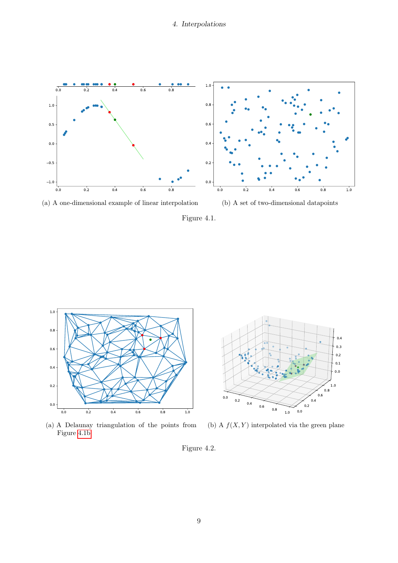<span id="page-8-0"></span>



Figure 4.1.

<span id="page-8-1"></span>



(a) A Delaunay triangulation of the points from Figure [4.1b](#page-8-0)

(b) A  $f(X, Y)$  interpolated via the green plane

Figure 4.2.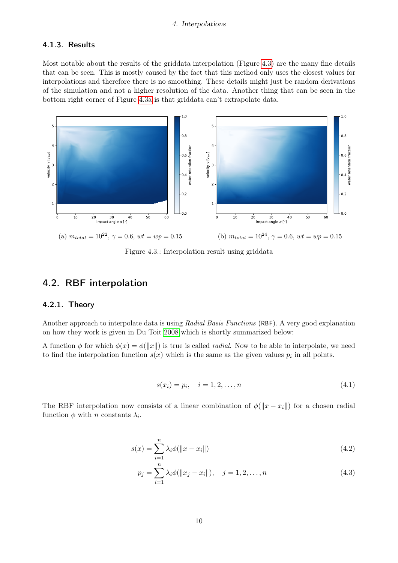#### <span id="page-9-4"></span><span id="page-9-0"></span>4.1.3. Results

Most notable about the results of the griddata interpolation (Figure [4.3\)](#page-9-3) are the many fine details that can be seen. This is mostly caused by the fact that this method only uses the closest values for interpolations and therefore there is no smoothing. These details might just be random derivations of the simulation and not a higher resolution of the data. Another thing that can be seen in the bottom right corner of Figure [4.3a](#page-9-3) is that griddata can't extrapolate data.

<span id="page-9-3"></span>

Figure 4.3.: Interpolation result using griddata

## <span id="page-9-1"></span>4.2. RBF interpolation

#### <span id="page-9-2"></span>4.2.1. Theory

Another approach to interpolate data is using Radial Basis Functions (RBF). A very good explanation on how they work is given in Du Toit [2008](#page-18-12) which is shortly summarized below:

A function  $\phi$  for which  $\phi(x) = \phi(||x||)$  is true is called *radial*. Now to be able to interpolate, we need to find the interpolation function  $s(x)$  which is the same as the given values  $p_i$  in all points.

$$
s(x_i) = p_i, \quad i = 1, 2, \dots, n
$$
\n(4.1)

The RBF interpolation now consists of a linear combination of  $\phi(||x - x_i||)$  for a chosen radial function  $\phi$  with n constants  $\lambda_i$ .

$$
s(x) = \sum_{i=1}^{n} \lambda_i \phi(||x - x_i||)
$$
\n(4.2)

$$
p_j = \sum_{i=1}^n \lambda_i \phi(||x_j - x_i||), \quad j = 1, 2, \dots, n
$$
\n(4.3)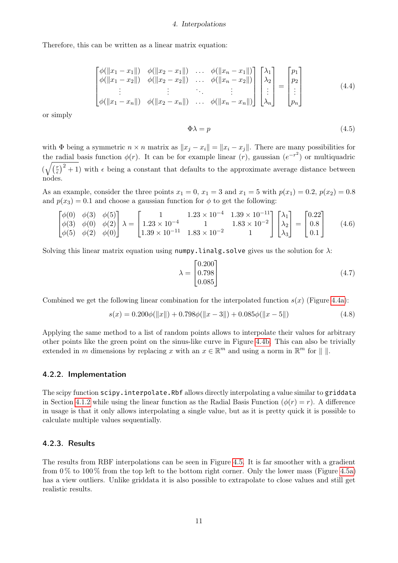Therefore, this can be written as a linear matrix equation:

$$
\begin{bmatrix}\n\phi(||x_1 - x_1||) & \phi(||x_2 - x_1||) & \dots & \phi(||x_n - x_1||) \\
\phi(||x_1 - x_2||) & \phi(||x_2 - x_2||) & \dots & \phi(||x_n - x_2||)\n\end{bmatrix}\n\begin{bmatrix}\n\lambda_1 \\
\lambda_2 \\
\vdots \\
\lambda_n\n\end{bmatrix}\n=\n\begin{bmatrix}\np_1 \\
p_2 \\
\vdots \\
p_n\n\end{bmatrix}
$$
\n(4.4)\n
$$
\phi(||x_1 - x_n||) \quad \phi(||x_2 - x_n||) \quad \dots \quad \phi(||x_n - x_n||)\n\begin{bmatrix}\n\lambda_1 \\
\lambda_2 \\
\vdots \\
\lambda_n\n\end{bmatrix}\n=\n\begin{bmatrix}\np_1 \\
p_2 \\
\vdots \\
p_n\n\end{bmatrix}
$$

or simply

$$
\Phi \lambda = p \tag{4.5}
$$

with  $\Phi$  being a symmetric  $n \times n$  matrix as  $||x_i - x_i|| = ||x_i - x_j||$ . There are many possibilities for the radial basis function  $\phi(r)$ . It can be for example linear  $(r)$ , gaussian  $(e^{-r^2})$  or multiquadric  $\left(\sqrt{\left(\frac{r}{\epsilon}\right)}\right)$  $\left(\frac{r}{\epsilon}\right)^2 + 1$ ) with  $\epsilon$  being a constant that defaults to the approximate average distance between nodes.

As an example, consider the three points  $x_1 = 0$ ,  $x_1 = 3$  and  $x_1 = 5$  with  $p(x_1) = 0.2$ ,  $p(x_2) = 0.8$ and  $p(x_3) = 0.1$  and choose a gaussian function for  $\phi$  to get the following:

$$
\begin{bmatrix}\n\phi(0) & \phi(3) & \phi(5) \\
\phi(3) & \phi(0) & \phi(2) \\
\phi(5) & \phi(2) & \phi(0)\n\end{bmatrix}\n\lambda = \begin{bmatrix}\n1 & 1.23 \times 10^{-4} & 1.39 \times 10^{-11} \\
1.23 \times 10^{-4} & 1 & 1.83 \times 10^{-2} \\
1.39 \times 10^{-11} & 1.83 \times 10^{-2} & 1\n\end{bmatrix}\n\begin{bmatrix}\n\lambda_1 \\
\lambda_2 \\
\lambda_3\n\end{bmatrix} = \begin{bmatrix}\n0.22 \\
0.8 \\
0.1\n\end{bmatrix}
$$
\n(4.6)

Solving this linear matrix equation using numpy.linalg.solve gives us the solution for  $\lambda$ :

$$
\lambda = \begin{bmatrix} 0.200 \\ 0.798 \\ 0.085 \end{bmatrix} \tag{4.7}
$$

Combined we get the following linear combination for the interpolated function  $s(x)$  (Figure [4.4a\)](#page-11-2):

<span id="page-10-2"></span>
$$
s(x) = 0.200\phi(||x||) + 0.798\phi(||x - 3||) + 0.085\phi(||x - 5||)
$$
\n(4.8)

Applying the same method to a list of random points allows to interpolate their values for arbitrary other points like the green point on the sinus-like curve in Figure [4.4b.](#page-11-2) This can also be trivially extended in m dimensions by replacing x with an  $x \in \mathbb{R}^m$  and using a norm in  $\mathbb{R}^m$  for  $\| \cdot \|$ .

#### <span id="page-10-0"></span>4.2.2. Implementation

The scipy function  $scipy.intexploate.Rbf$  allows directly interpolating a value similar to griddata in Section [4.1.2](#page-7-3) while using the linear function as the Radial Basis Function  $(\phi(r) = r)$ . A difference in usage is that it only allows interpolating a single value, but as it is pretty quick it is possible to calculate multiple values sequentially.

#### <span id="page-10-1"></span>4.2.3. Results

The results from RBF interpolations can be seen in Figure [4.5.](#page-11-3) It is far smoother with a gradient from  $0\%$  to  $100\%$  from the top left to the bottom right corner. Only the lower mass (Figure [4.5a\)](#page-11-3) has a view outliers. Unlike griddata it is also possible to extrapolate to close values and still get realistic results.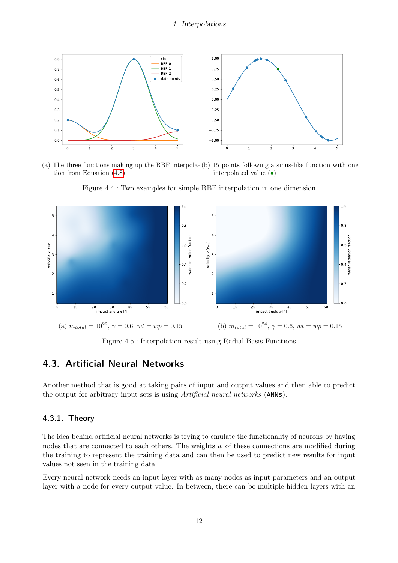<span id="page-11-2"></span>

(a) The three functions making up the RBF interpola-(b) 15 points following a sinus-like function with one tion from Equation [\(4.8\)](#page-10-2) interpolated value (•)

<span id="page-11-3"></span>

Figure 4.4.: Two examples for simple RBF interpolation in one dimension

Figure 4.5.: Interpolation result using Radial Basis Functions

## <span id="page-11-0"></span>4.3. Artificial Neural Networks

Another method that is good at taking pairs of input and output values and then able to predict the output for arbitrary input sets is using Artificial neural networks (ANNs).

#### <span id="page-11-1"></span>4.3.1. Theory

The idea behind artificial neural networks is trying to emulate the functionality of neurons by having nodes that are connected to each others. The weights  $w$  of these connections are modified during the training to represent the training data and can then be used to predict new results for input values not seen in the training data.

Every neural network needs an input layer with as many nodes as input parameters and an output layer with a node for every output value. In between, there can be multiple hidden layers with an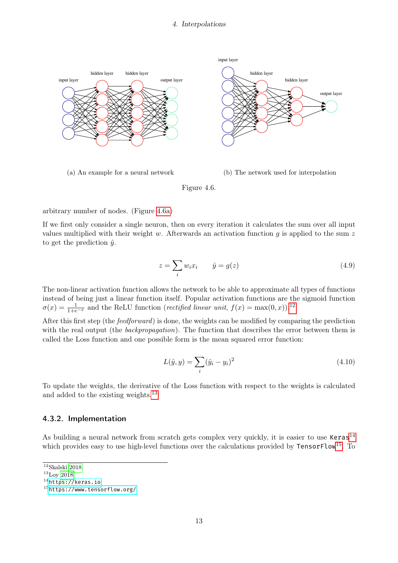<span id="page-12-6"></span><span id="page-12-1"></span>

arbitrary number of nodes. (Figure [4.6a\)](#page-12-1)

If we first only consider a single neuron, then on every iteration it calculates the sum over all input values multiplied with their weight w. Afterwards an activation function  $q$  is applied to the sum z to get the prediction  $\hat{y}$ .

$$
z = \sum_{i} w_i x_i \qquad \hat{y} = g(z) \tag{4.9}
$$

The non-linear activation function allows the network to be able to approximate all types of functions instead of being just a linear function itself. Popular activation functions are the sigmoid function  $\sigma(x) = \frac{1}{1+e^{-x}}$  and the ReLU function (rectified linear unit,  $f(x) = \max(0, x)$ ).<sup>[12](#page-12-2)</sup>

After this first step (the *feedforward*) is done, the weights can be modified by comparing the prediction with the real output (the *backpropagation*). The function that describes the error between them is called the Loss function and one possible form is the mean squared error function:

$$
L(\hat{y}, y) = \sum_{i} (\hat{y}_i - y_i)^2
$$
\n(4.10)

To update the weights, the derivative of the Loss function with respect to the weights is calculated and added to the existing weights.[13](#page-12-3)

#### <span id="page-12-0"></span>4.3.2. Implementation

As building a neural network from scratch gets complex very quickly, it is easier to use  $Keras<sup>14</sup>$  $Keras<sup>14</sup>$  $Keras<sup>14</sup>$ which provides easy to use high-level functions over the calculations provided by TensorFlow<sup>[15](#page-12-5)</sup>. To

<span id="page-12-2"></span> $12$ Skalski [2018.](#page-18-13)

<span id="page-12-3"></span><sup>13</sup>Loy [2018.](#page-18-14)

<span id="page-12-4"></span><sup>14</sup><https://keras.io>

<span id="page-12-5"></span><sup>15</sup><https://www.tensorflow.org/>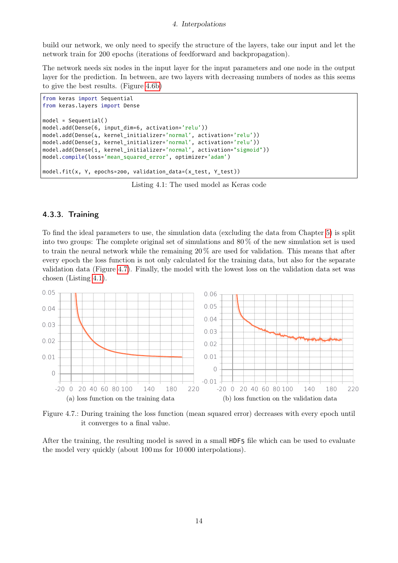build our network, we only need to specify the structure of the layers, take our input and let the network train for 200 epochs (iterations of feedforward and backpropagation).

The network needs six nodes in the input layer for the input parameters and one node in the output layer for the prediction. In between, are two layers with decreasing numbers of nodes as this seems to give the best results. (Figure [4.6b\)](#page-12-1)

```
from keras import Sequential
from keras.layers import Dense
model = Sequential()
model.add(Dense(6, input_dim=6, activation='relu'))
model.add(Dense(4, kernel_initializer='normal', activation='relu'))
model.add(Dense(3, kernel_initializer='normal', activation='relu'))
model.add(Dense(1, kernel_initializer='normal', activation="sigmoid"))
model.compile(loss='mean_squared_error', optimizer='adam')
model.fit(x, Y, epochs=200, validation_data=(x_test, Y_test))
```
Listing 4.1: The used model as Keras code

#### <span id="page-13-0"></span>4.3.3. Training

To find the ideal parameters to use, the simulation data (excluding the data from Chapter [5\)](#page-15-0) is split into two groups: The complete original set of simulations and 80 % of the new simulation set is used to train the neural network while the remaining 20 % are used for validation. This means that after every epoch the loss function is not only calculated for the training data, but also for the separate validation data (Figure [4.7\)](#page-13-1). Finally, the model with the lowest loss on the validation data set was chosen (Listing [4.1\)](#page-13-2).

<span id="page-13-1"></span>

Figure 4.7.: During training the loss function (mean squared error) decreases with every epoch until it converges to a final value.

After the training, the resulting model is saved in a small HDF5 file which can be used to evaluate the model very quickly (about 100 ms for 10 000 interpolations).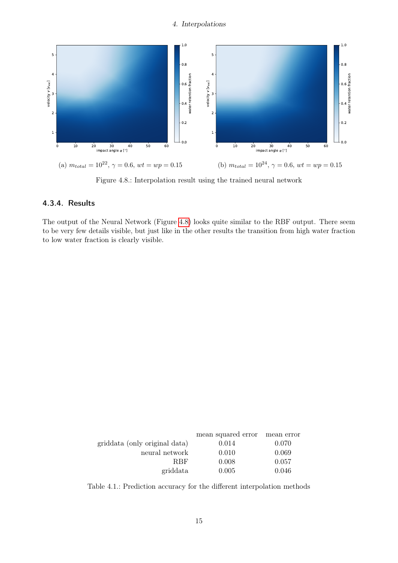<span id="page-14-1"></span>

Figure 4.8.: Interpolation result using the trained neural network

#### <span id="page-14-0"></span>4.3.4. Results

The output of the Neural Network (Figure [4.8\)](#page-14-1) looks quite similar to the RBF output. There seem to be very few details visible, but just like in the other results the transition from high water fraction to low water fraction is clearly visible.

<span id="page-14-2"></span>

|                               | mean squared error mean error |       |
|-------------------------------|-------------------------------|-------|
| griddata (only original data) | 0.014                         | 0.070 |
| neural network                | 0.010                         | 0.069 |
| <b>RBF</b>                    | 0.008                         | 0.057 |
| griddata                      | 0.005                         | 0.046 |
|                               |                               |       |

Table 4.1.: Prediction accuracy for the different interpolation methods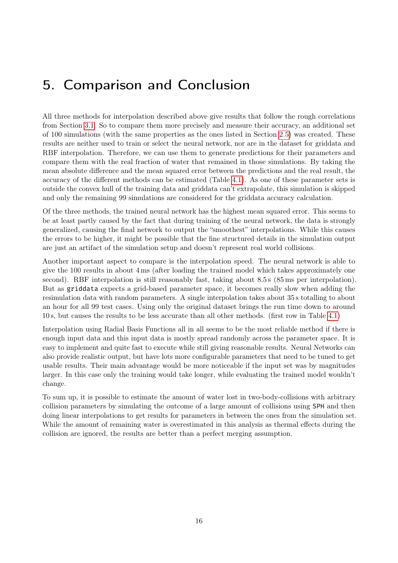# <span id="page-15-0"></span>5. Comparison and Conclusion

All three methods for interpolation described above give results that follow the rough correlations from Section [3.1.](#page-6-1) So to compare them more precisely and measure their accuracy, an additional set of 100 simulations (with the same properties as the ones listed in Section [2.5\)](#page-5-0) was created. These results are neither used to train or select the neural network, nor are in the dataset for griddata and RBF interpolation. Therefore, we can use them to generate predictions for their parameters and compare them with the real fraction of water that remained in those simulations. By taking the mean absolute difference and the mean squared error between the predictions and the real result, the accuracy of the different methods can be estimated (Table [4.1\)](#page-14-2). As one of these parameter sets is outside the convex hull of the training data and griddata can't extrapolate, this simulation is skipped and only the remaining 99 simulations are considered for the griddata accuracy calculation.

Of the three methods, the trained neural network has the highest mean squared error. This seems to be at least partly caused by the fact that during training of the neural network, the data is strongly generalized, causing the final network to output the "smoothest" interpolations. While this causes the errors to be higher, it might be possible that the fine structured details in the simulation output are just an artifact of the simulation setup and doesn't represent real world collisions.

Another important aspect to compare is the interpolation speed. The neural network is able to give the 100 results in about 4 ms (after loading the trained model which takes approximately one second). RBF interpolation is still reasonably fast, taking about 8.5 s (85 ms per interpolation). But as griddata expects a grid-based parameter space, it becomes really slow when adding the resimulation data with random parameters. A single interpolation takes about 35 s totalling to about an hour for all 99 test cases. Using only the original dataset brings the run time down to around 10 s, but causes the results to be less accurate than all other methods. (first row in Table [4.1\)](#page-14-2)

Interpolation using Radial Basis Functions all in all seems to be the most reliable method if there is enough input data and this input data is mostly spread randomly across the parameter space. It is easy to implement and quite fast to execute while still giving reasonable results. Neural Networks can also provide realistic output, but have lots more configurable parameters that need to be tuned to get usable results. Their main advantage would be more noticeable if the input set was by magnitudes larger. In this case only the training would take longer, while evaluating the trained model wouldn't change.

To sum up, it is possible to estimate the amount of water lost in two-body-collisions with arbitrary collision parameters by simulating the outcome of a large amount of collisions using SPH and then doing linear interpolations to get results for parameters in between the ones from the simulation set. While the amount of remaining water is overestimated in this analysis as thermal effects during the collision are ignored, the results are better than a perfect merging assumption.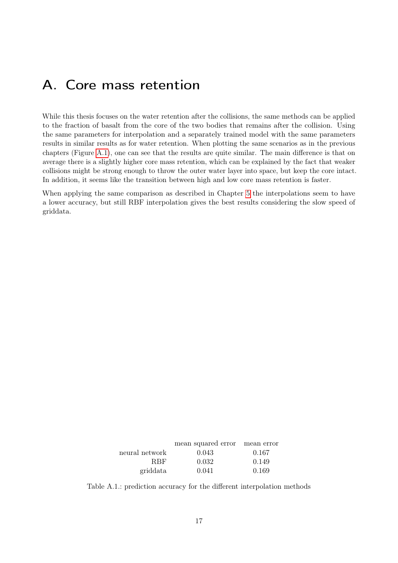## <span id="page-16-0"></span>A. Core mass retention

While this thesis focuses on the water retention after the collisions, the same methods can be applied to the fraction of basalt from the core of the two bodies that remains after the collision. Using the same parameters for interpolation and a separately trained model with the same parameters results in similar results as for water retention. When plotting the same scenarios as in the previous chapters (Figure [A.1\)](#page-17-0), one can see that the results are quite similar. The main difference is that on average there is a slightly higher core mass retention, which can be explained by the fact that weaker collisions might be strong enough to throw the outer water layer into space, but keep the core intact. In addition, it seems like the transition between high and low core mass retention is faster.

When applying the same comparison as described in Chapter [5](#page-15-0) the interpolations seem to have a lower accuracy, but still RBF interpolation gives the best results considering the slow speed of griddata.

|                | mean squared error mean error |       |
|----------------|-------------------------------|-------|
| neural network | 0.043                         | 0.167 |
| <b>RBF</b>     | 0.032                         | 0.149 |
| griddata       | 0.041                         | 0.169 |

Table A.1.: prediction accuracy for the different interpolation methods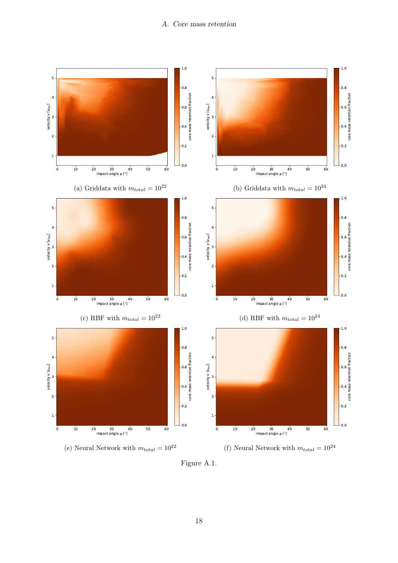#### A. Core mass retention

<span id="page-17-0"></span>

Figure A.1.